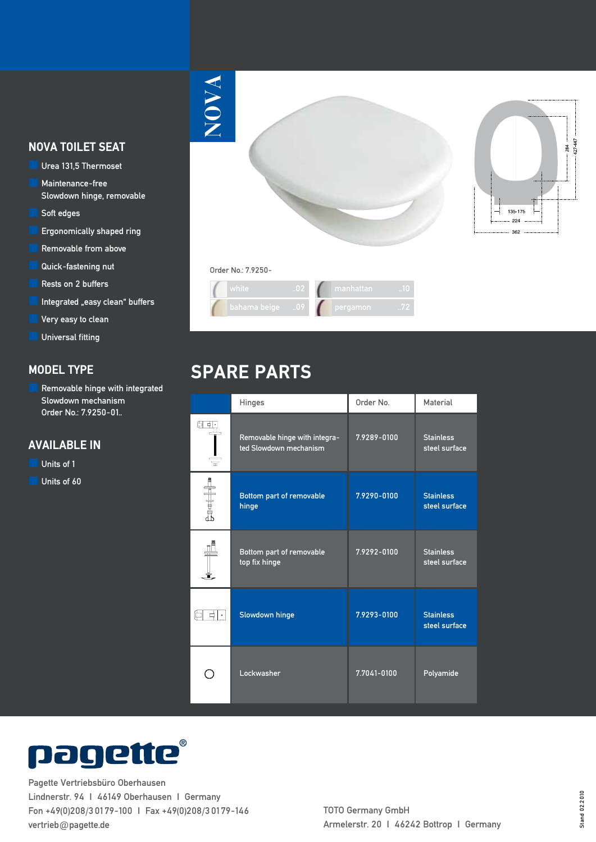#### **NOVA TOILET SEAT**

- Urea 131,5 Thermoset Maintenance-free Slowdown hinge, removable Soft edges
- Ergonomically shaped ring
- Removable from above
- Quick-fastening nut
- Rests on 2 buffers
- Integrated "easy clean" buffers
- Very easy to clean
- Universal fitting

#### **MODEL TYPE**

 Removable hinge with integrated Slowdown mechanism Order No.: 7.9250-01..

#### **AVAILABLE IN**

- Units of 1
- Units of 60

# **NOVA**



#### Order No.: 7.9250-



## **SPARE PARTS**

|                                                                                                                                                                                                                                                                                                                                                          | Hinges                                                  | Order No.   | Material                          |
|----------------------------------------------------------------------------------------------------------------------------------------------------------------------------------------------------------------------------------------------------------------------------------------------------------------------------------------------------------|---------------------------------------------------------|-------------|-----------------------------------|
| 61 41<br>$\equiv$                                                                                                                                                                                                                                                                                                                                        | Removable hinge with integra-<br>ted Slowdown mechanism | 7.9289-0100 | <b>Stainless</b><br>steel surface |
| $\begin{picture}(20,5) \put(0,0) {\put(0,0){\line(1,0){10}} \put(1,0){\line(1,0){10}} \put(1,0){\line(1,0){10}} \put(1,0){\line(1,0){10}} \put(1,0){\line(1,0){10}} \put(1,0){\line(1,0){10}} \put(1,0){\line(1,0){10}} \put(1,0){\line(1,0){10}} \put(1,0){\line(1,0){10}} \put(1,0){\line(1,0){10}} \put(1,0){\line(1,0){10}} \put(1,0){\line(1,0){10$ | Bottom part of removable<br>hinge                       | 7.9290-0100 | <b>Stainless</b><br>steel surface |
|                                                                                                                                                                                                                                                                                                                                                          | Bottom part of removable<br>top fix hinge               | 7.9292-0100 | <b>Stainless</b><br>steel surface |
| i of                                                                                                                                                                                                                                                                                                                                                     | Slowdown hinge                                          | 7.9293-0100 | <b>Stainless</b><br>steel surface |
|                                                                                                                                                                                                                                                                                                                                                          | Lockwasher                                              | 7.7041-0100 | Polyamide                         |



Pagette Vertriebsbüro Oberhausen Lindnerstr. 94 I 46149 Oberhausen I Germany Fon +49(0)208/301 79-100 I Fax +49(0)208/301 79-146 vertrieb@pagette.de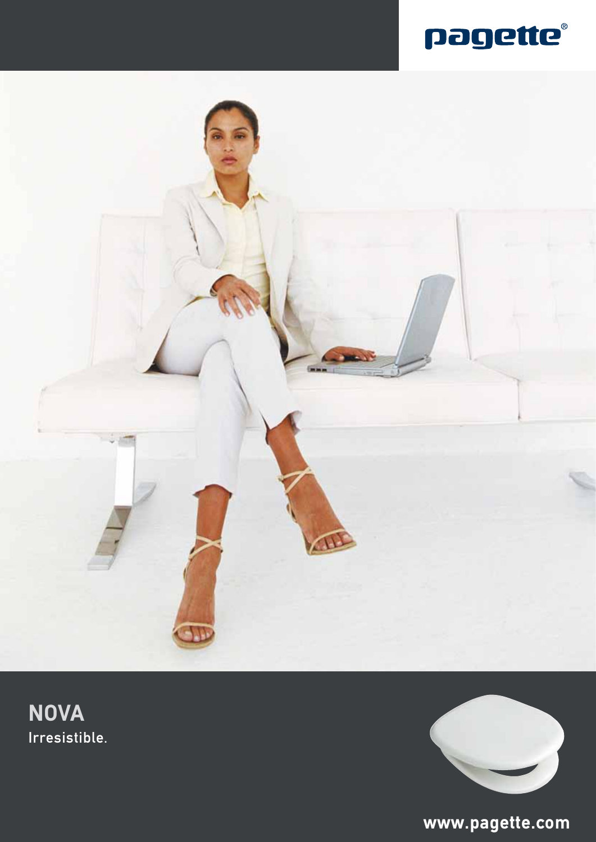



Irresistible. **NOVA**



**www.pagette.com**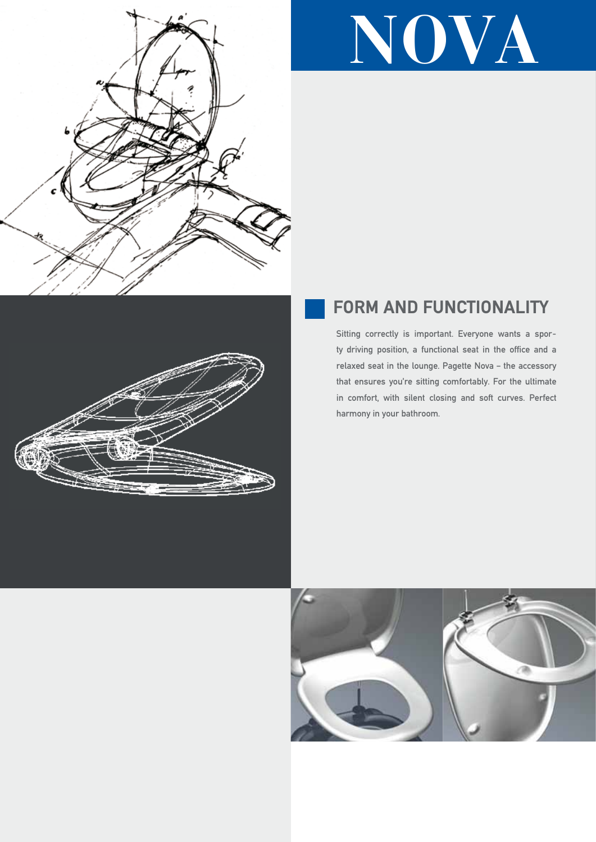

# **NOVA**

# **FORM AND FUNCTIONALITY**

Sitting correctly is important. Everyone wants a sporty driving position, a functional seat in the office and a relaxed seat in the lounge. Pagette Nova – the accessory that ensures you're sitting comfortably. For the ultimate in comfort, with silent closing and soft curves. Perfect harmony in your bathroom.